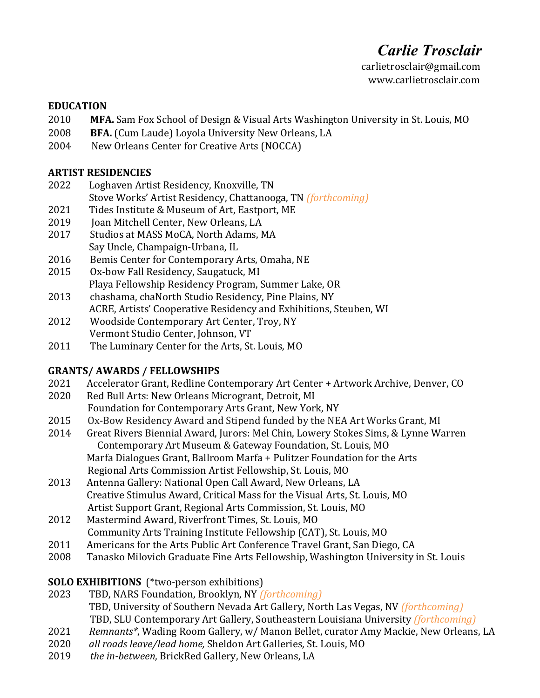# *Carlie Trosclair*

 carlietrosclair@gmail.com www.carlietrosclair.com

#### **EDUCATION**

- 2010 MFA. Sam Fox School of Design & Visual Arts Washington University in St. Louis, MO
- 2008 **BFA.** (Cum Laude) Loyola University New Orleans, LA
- 2004 New Orleans Center for Creative Arts (NOCCA)

#### **ARTIST RESIDENCIES**

- 2022 Loghaven Artist Residency, Knoxville, TN Stove Works' Artist Residency, Chattanooga, TN *(forthcoming)*
- 2021 Tides Institute & Museum of Art, Eastport, ME
- 2019 Joan Mitchell Center, New Orleans, LA
- 2017 Studios at MASS MoCA, North Adams, MA Say Uncle, Champaign-Urbana, IL
- 2016 Bemis Center for Contemporary Arts, Omaha, NE
- 2015 Ox-bow Fall Residency, Saugatuck, MI Playa Fellowship Residency Program, Summer Lake, OR
- 2013 chashama, chaNorth Studio Residency, Pine Plains, NY ACRE, Artists' Cooperative Residency and Exhibitions, Steuben, WI
- 2012 Woodside Contemporary Art Center, Troy, NY Vermont Studio Center, Johnson, VT
- 2011 The Luminary Center for the Arts, St. Louis, MO

## **GRANTS/ AWARDS / FELLOWSHIPS**

- 2021 Accelerator Grant, Redline Contemporary Art Center + Artwork Archive, Denver, CO
- 2020 Red Bull Arts: New Orleans Microgrant, Detroit, MI Foundation for Contemporary Arts Grant, New York, NY
- 2015 Ox-Bow Residency Award and Stipend funded by the NEA Art Works Grant, MI
- 2014 Great Rivers Biennial Award, Jurors: Mel Chin, Lowery Stokes Sims, & Lynne Warren Contemporary Art Museum & Gateway Foundation, St. Louis, MO Marfa Dialogues Grant, Ballroom Marfa + Pulitzer Foundation for the Arts Regional Arts Commission Artist Fellowship, St. Louis, MO
- 2013 Antenna Gallery: National Open Call Award, New Orleans, LA Creative Stimulus Award, Critical Mass for the Visual Arts, St. Louis, MO Artist Support Grant, Regional Arts Commission, St. Louis, MO
- 2012 Mastermind Award, Riverfront Times, St. Louis, MO Community Arts Training Institute Fellowship (CAT), St. Louis, MO
- 2011 Americans for the Arts Public Art Conference Travel Grant, San Diego, CA
- 2008 Tanasko Milovich Graduate Fine Arts Fellowship, Washington University in St. Louis

## **SOLO EXHIBITIONS** (\*two-person exhibitions)

- 2023 TBD, NARS Foundation, Brooklyn, NY *(forthcoming)* TBD, University of Southern Nevada Art Gallery, North Las Vegas, NV *(forthcoming)* TBD, SLU Contemporary Art Gallery, Southeastern Louisiana University *(forthcoming)*
- 2021 Remnants\*, Wading Room Gallery, w/ Manon Bellet, curator Amy Mackie, New Orleans, LA
- 2020 *all roads leave/lead home, Sheldon Art Galleries, St. Louis, MO*
- 2019 the in-between, BrickRed Gallery, New Orleans, LA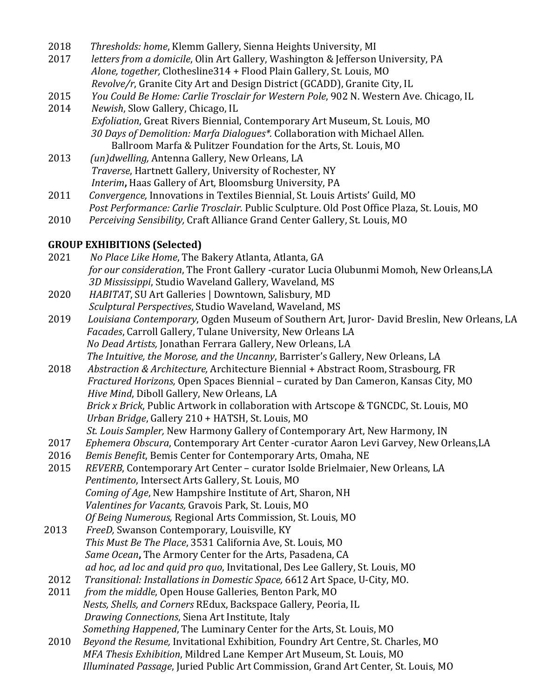| 2018 | Thresholds: home, Klemm Gallery, Sienna Heights University, MI |  |  |  |  |
|------|----------------------------------------------------------------|--|--|--|--|
|      |                                                                |  |  |  |  |

- 2017 *letters from a domicile*, Olin Art Gallery, Washington & Jefferson University, PA Alone, together, Clothesline314 + Flood Plain Gallery, St. Louis, MO *Revolve/r*, Granite City Art and Design District (GCADD), Granite City, IL
- 2015 You Could Be Home: Carlie Trosclair for Western Pole, 902 N. Western Ave. Chicago, IL
- 2014 Newish, Slow Gallery, Chicago, IL *Exfoliation*, Great Rivers Biennial, Contemporary Art Museum, St. Louis, MO 30 Days of Demolition: Marfa Dialogues<sup>\*</sup>. Collaboration with Michael Allen. Ballroom Marfa & Pulitzer Foundation for the Arts, St. Louis, MO
- 2013 (un)dwelling, Antenna Gallery, New Orleans, LA  *Traverse*, Hartnett Gallery, University of Rochester, NY *Interim*, Haas Gallery of Art, Bloomsburg University, PA
- 2011 Convergence, Innovations in Textiles Biennial, St. Louis Artists' Guild, MO Post Performance: Carlie Trosclair. Public Sculpture. Old Post Office Plaza, St. Louis, MO
- 2010 Perceiving Sensibility, Craft Alliance Grand Center Gallery, St. Louis, MO

## **GROUP EXHIBITIONS (Selected)**

- 2021 No Place Like Home, The Bakery Atlanta, Atlanta, GA *for our consideration*, The Front Gallery -curator Lucia Olubunmi Momoh, New Orleans,LA 3D Mississippi, Studio Waveland Gallery, Waveland, MS 2020 HABITAT, SU Art Galleries | Downtown, Salisbury, MD
- *Sculptural Perspectives*, Studio Waveland, Waveland, MS
- 2019 Louisiana Contemporary, Ogden Museum of Southern Art, Juror- David Breslin, New Orleans, LA *Facades*, Carroll Gallery, Tulane University, New Orleans LA *No Dead Artists, Jonathan Ferrara Gallery, New Orleans, LA The Intuitive, the Morose, and the Uncanny*, Barrister's Gallery, New Orleans, LA
- 2018 *Abstraction & Architecture, Architecture Biennial* + Abstract Room, Strasbourg, FR *Fractured Horizons,* Open Spaces Biennial – curated by Dan Cameron, Kansas City, MO *Hive Mind*, Diboll Gallery, New Orleans, LA *Brick x Brick*, Public Artwork in collaboration with Artscope & TGNCDC, St. Louis, MO *Urban Bridge*, Gallery 210 + HATSH, St. Louis, MO
- *St. Louis Sampler,* New Harmony Gallery of Contemporary Art, New Harmony, IN
- 2017 *Ephemera Obscura*, Contemporary Art Center -curator Aaron Levi Garvey, New Orleans, LA
- 2016 Bemis Benefit, Bemis Center for Contemporary Arts, Omaha, NE
- 2015 REVERB, Contemporary Art Center curator Isolde Brielmaier, New Orleans, LA *Pentimento*, Intersect Arts Gallery, St. Louis, MO *Coming of Age*, New Hampshire Institute of Art, Sharon, NH Valentines for Vacants, Gravois Park, St. Louis, MO *Of Being Numerous, Regional Arts Commission, St. Louis, MO*
- 2013 FreeD, Swanson Contemporary, Louisville, KY *This Must Be The Place,* 3531 California Ave, St. Louis, MO *Same Ocean*, The Armory Center for the Arts, Pasadena, CA *ad hoc, ad loc and quid pro quo*, Invitational, Des Lee Gallery, St. Louis, MO
- 2012 Transitional: Installations in Domestic Space, 6612 Art Space, U-City, MO.
- 2011 from the middle, Open House Galleries, Benton Park, MO *Nests, Shells, and Corners* REdux, Backspace Gallery, Peoria, IL *Drawing Connections, Siena Art Institute, Italy Something Happened*, The Luminary Center for the Arts, St. Louis, MO
- 2010 Beyond the Resume, Invitational Exhibition, Foundry Art Centre, St. Charles, MO *MFA Thesis Exhibition*, Mildred Lane Kemper Art Museum, St. Louis, MO *Illuminated Passage*, Juried Public Art Commission, Grand Art Center, St. Louis, MO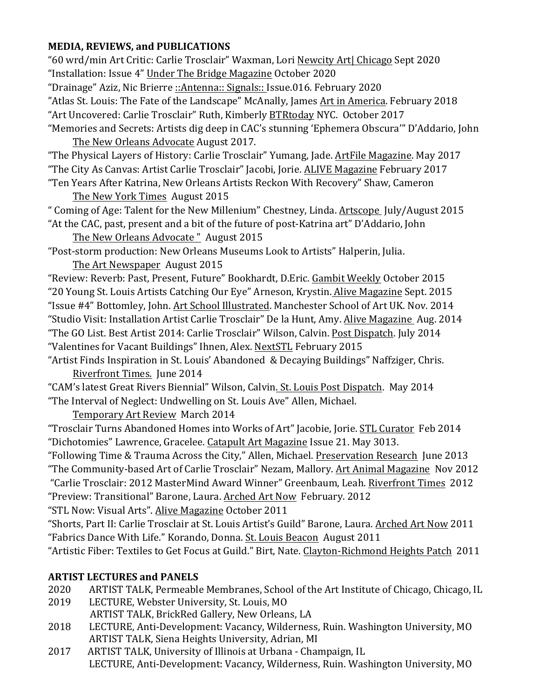## **MEDIA, REVIEWS, and PUBLICATIONS**

"60 wrd/min Art Critic: Carlie Trosclair" Waxman, Lori Newcity Art| Chicago Sept 2020 "Installation: Issue 4" Under The Bridge Magazine October 2020 "Drainage" Aziz, Nic Brierre ::Antenna:: Signals:: Issue.016. February 2020 "Atlas St. Louis: The Fate of the Landscape" McAnally, James Art in America. February 2018 "Art Uncovered: Carlie Trosclair" Ruth, Kimberly BTRtoday NYC. October 2017 "Memories and Secrets: Artists dig deep in CAC's stunning 'Ephemera Obscura'" D'Addario, John The New Orleans Advocate August 2017. "The Physical Layers of History: Carlie Trosclair" Yumang, Jade. ArtFile Magazine. May 2017 "The City As Canvas: Artist Carlie Trosclair" Jacobi, Jorie. ALIVE Magazine February 2017 "Ten Years After Katrina, New Orleans Artists Reckon With Recovery" Shaw, Cameron The New York Times August 2015 " Coming of Age: Talent for the New Millenium" Chestney, Linda. Artscope July/August 2015 "At the CAC, past, present and a bit of the future of post-Katrina art" D'Addario, John The New Orleans Advocate " August 2015 "Post-storm production: New Orleans Museums Look to Artists" Halperin, Julia. The Art Newspaper August 2015 "Review: Reverb: Past, Present, Future" Bookhardt, D.Eric. Gambit Weekly October 2015 "20 Young St. Louis Artists Catching Our Eye" Arneson, Krystin. Alive Magazine Sept. 2015 "Issue #4" Bottomley, John. Art School Illustrated. Manchester School of Art UK. Nov. 2014 "Studio Visit: Installation Artist Carlie Trosclair" De la Hunt, Amy. Alive Magazine Aug. 2014 "The GO List. Best Artist 2014: Carlie Trosclair" Wilson, Calvin. Post Dispatch. July 2014 "Valentines for Vacant Buildings" Ihnen, Alex. NextSTL February 2015 "Artist Finds Inspiration in St. Louis' Abandoned & Decaying Buildings" Naffziger, Chris. Riverfront Times. Iune 2014 "CAM's latest Great Rivers Biennial" Wilson, Calvin. St. Louis Post Dispatch. May 2014 "The Interval of Neglect: Undwelling on St. Louis Ave" Allen, Michael. Temporary Art Review March 2014 "Trosclair Turns Abandoned Homes into Works of Art" Jacobie, Jorie. STL Curator Feb 2014 "Dichotomies" Lawrence, Gracelee. Catapult Art Magazine Issue 21. May 3013. "Following Time & Trauma Across the City," Allen, Michael. Preservation Research June 2013 "The Community-based Art of Carlie Trosclair" Nezam, Mallory. Art Animal Magazine Nov 2012 "Carlie Trosclair: 2012 MasterMind Award Winner" Greenbaum, Leah. Riverfront Times 2012 "Preview: Transitional" Barone, Laura. Arched Art Now February. 2012 "STL Now: Visual Arts". Alive Magazine October 2011 "Shorts, Part II: Carlie Trosclair at St. Louis Artist's Guild" Barone, Laura. Arched Art Now 2011

"Fabrics Dance With Life." Korando, Donna. St. Louis Beacon August 2011

"Artistic Fiber: Textiles to Get Focus at Guild." Birt, Nate. Clayton-Richmond Heights Patch 2011

## **ARTIST LECTURES and PANELS**

- 2020 ARTIST TALK, Permeable Membranes, School of the Art Institute of Chicago, Chicago, IL
- 2019 LECTURE, Webster University, St. Louis, MO ARTIST TALK, BrickRed Gallery, New Orleans, LA
- 2018 LECTURE, Anti-Development: Vacancy, Wilderness, Ruin. Washington University, MO ARTIST TALK, Siena Heights University, Adrian, MI
- 2017 ARTIST TALK, University of Illinois at Urbana Champaign, IL LECTURE, Anti-Development: Vacancy, Wilderness, Ruin. Washington University, MO